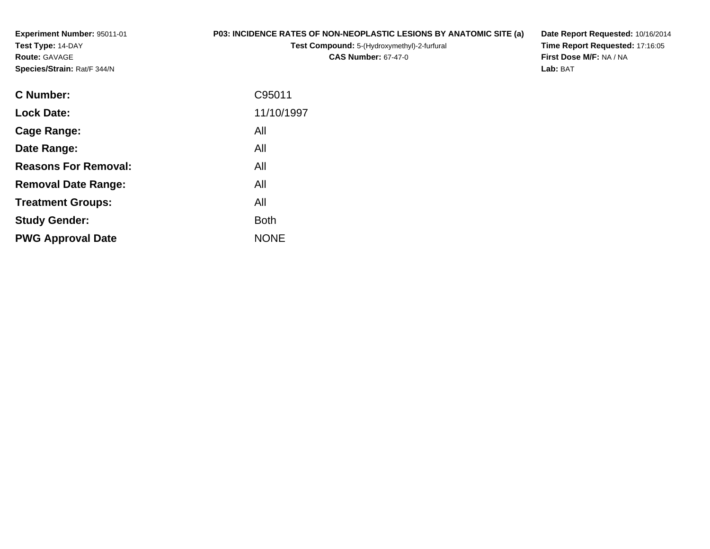**Experiment Number:** 95011-01**Test Type:** 14-DAY**Route:** GAVAGE**Species/Strain:** Rat/F 344/N

## **P03: INCIDENCE RATES OF NON-NEOPLASTIC LESIONS BY ANATOMIC SITE (a)**

**Test Compound:** 5-(Hydroxymethyl)-2-furfural **CAS Number:** 67-47-0

**Date Report Requested:** 10/16/2014 **Time Report Requested:** 17:16:05**First Dose M/F:** NA / NA**Lab:** BAT

| <b>C</b> Number:            | C95011      |
|-----------------------------|-------------|
| <b>Lock Date:</b>           | 11/10/1997  |
| Cage Range:                 | All         |
| Date Range:                 | All         |
| <b>Reasons For Removal:</b> | All         |
| <b>Removal Date Range:</b>  | All         |
| <b>Treatment Groups:</b>    | All         |
| <b>Study Gender:</b>        | <b>Both</b> |
| <b>PWG Approval Date</b>    | <b>NONE</b> |
|                             |             |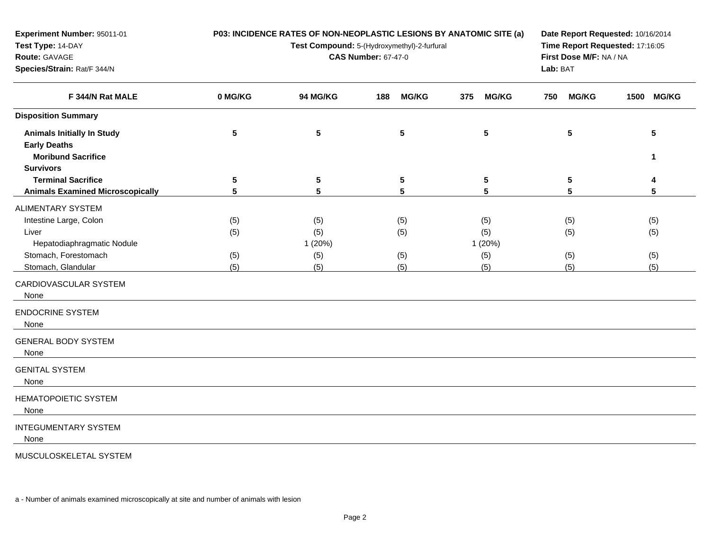| Experiment Number: 95011-01<br>Test Type: 14-DAY<br>Route: GAVAGE<br>Species/Strain: Rat/F 344/N                                                                                                                                                  |                          | P03: INCIDENCE RATES OF NON-NEOPLASTIC LESIONS BY ANATOMIC SITE (a)<br>Test Compound: 5-(Hydroxymethyl)-2-furfural<br><b>CAS Number: 67-47-0</b> | Date Report Requested: 10/16/2014<br>Time Report Requested: 17:16:05<br>First Dose M/F: NA / NA<br>Lab: BAT |                                     |                          |                          |
|---------------------------------------------------------------------------------------------------------------------------------------------------------------------------------------------------------------------------------------------------|--------------------------|--------------------------------------------------------------------------------------------------------------------------------------------------|-------------------------------------------------------------------------------------------------------------|-------------------------------------|--------------------------|--------------------------|
| F 344/N Rat MALE                                                                                                                                                                                                                                  | 0 MG/KG                  | <b>94 MG/KG</b>                                                                                                                                  | <b>MG/KG</b><br>188                                                                                         | 375<br><b>MG/KG</b>                 | <b>MG/KG</b><br>750      | 1500 MG/KG               |
| <b>Disposition Summary</b>                                                                                                                                                                                                                        |                          |                                                                                                                                                  |                                                                                                             |                                     |                          |                          |
| <b>Animals Initially In Study</b><br><b>Early Deaths</b><br><b>Moribund Sacrifice</b><br><b>Survivors</b>                                                                                                                                         | $5\phantom{.0}$          | $\overline{\mathbf{5}}$                                                                                                                          | ${\bf 5}$                                                                                                   | 5                                   | 5                        | 5<br>1                   |
| <b>Terminal Sacrifice</b>                                                                                                                                                                                                                         | ${\bf 5}$                | ${\bf 5}$                                                                                                                                        | ${\bf 5}$                                                                                                   | 5                                   | 5                        | 4                        |
| <b>Animals Examined Microscopically</b>                                                                                                                                                                                                           | 5                        | 5                                                                                                                                                | 5                                                                                                           | 5                                   | 5                        | 5                        |
| <b>ALIMENTARY SYSTEM</b><br>Intestine Large, Colon<br>Liver<br>Hepatodiaphragmatic Nodule<br>Stomach, Forestomach<br>Stomach, Glandular<br>CARDIOVASCULAR SYSTEM<br>None<br><b>ENDOCRINE SYSTEM</b><br>None<br><b>GENERAL BODY SYSTEM</b><br>None | (5)<br>(5)<br>(5)<br>(5) | (5)<br>(5)<br>1 (20%)<br>(5)<br>(5)                                                                                                              | (5)<br>(5)<br>(5)<br>(5)                                                                                    | (5)<br>(5)<br>1 (20%)<br>(5)<br>(5) | (5)<br>(5)<br>(5)<br>(5) | (5)<br>(5)<br>(5)<br>(5) |
| <b>GENITAL SYSTEM</b><br>None                                                                                                                                                                                                                     |                          |                                                                                                                                                  |                                                                                                             |                                     |                          |                          |
| <b>HEMATOPOIETIC SYSTEM</b><br>None                                                                                                                                                                                                               |                          |                                                                                                                                                  |                                                                                                             |                                     |                          |                          |
| <b>INTEGUMENTARY SYSTEM</b><br>None                                                                                                                                                                                                               |                          |                                                                                                                                                  |                                                                                                             |                                     |                          |                          |

MUSCULOSKELETAL SYSTEM

a - Number of animals examined microscopically at site and number of animals with lesion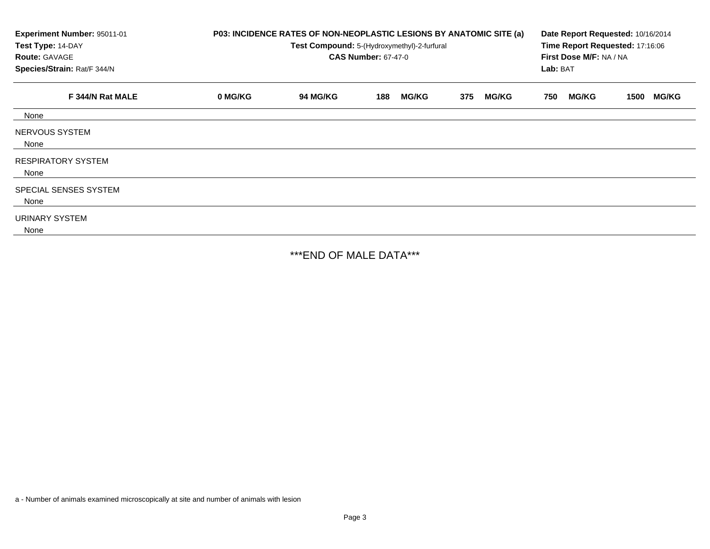| Experiment Number: 95011-01<br>Test Type: 14-DAY<br><b>Route: GAVAGE</b><br>Species/Strain: Rat/F 344/N | P03: INCIDENCE RATES OF NON-NEOPLASTIC LESIONS BY ANATOMIC SITE (a)<br>Test Compound: 5-(Hydroxymethyl)-2-furfural<br><b>CAS Number: 67-47-0</b> |          |     |              |     |              |     | Date Report Requested: 10/16/2014<br>Time Report Requested: 17:16:06<br>First Dose M/F: NA / NA<br>Lab: BAT |      |              |  |
|---------------------------------------------------------------------------------------------------------|--------------------------------------------------------------------------------------------------------------------------------------------------|----------|-----|--------------|-----|--------------|-----|-------------------------------------------------------------------------------------------------------------|------|--------------|--|
| F 344/N Rat MALE                                                                                        | 0 MG/KG                                                                                                                                          | 94 MG/KG | 188 | <b>MG/KG</b> | 375 | <b>MG/KG</b> | 750 | <b>MG/KG</b>                                                                                                | 1500 | <b>MG/KG</b> |  |
| None                                                                                                    |                                                                                                                                                  |          |     |              |     |              |     |                                                                                                             |      |              |  |
| NERVOUS SYSTEM<br>None                                                                                  |                                                                                                                                                  |          |     |              |     |              |     |                                                                                                             |      |              |  |
| <b>RESPIRATORY SYSTEM</b><br>None                                                                       |                                                                                                                                                  |          |     |              |     |              |     |                                                                                                             |      |              |  |
| SPECIAL SENSES SYSTEM<br>None                                                                           |                                                                                                                                                  |          |     |              |     |              |     |                                                                                                             |      |              |  |
| URINARY SYSTEM<br>None                                                                                  |                                                                                                                                                  |          |     |              |     |              |     |                                                                                                             |      |              |  |

\*\*\*END OF MALE DATA\*\*\*

a - Number of animals examined microscopically at site and number of animals with lesion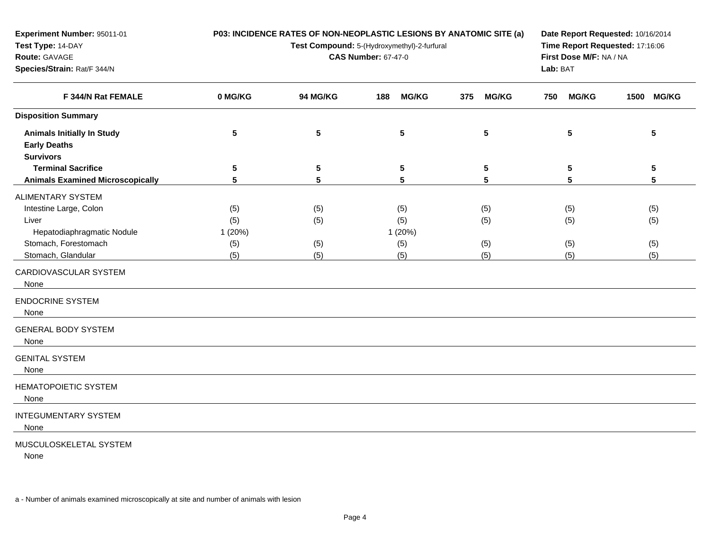| Experiment Number: 95011-01<br>Test Type: 14-DAY<br>Route: GAVAGE<br>Species/Strain: Rat/F 344/N |         | P03: INCIDENCE RATES OF NON-NEOPLASTIC LESIONS BY ANATOMIC SITE (a)<br>Test Compound: 5-(Hydroxymethyl)-2-furfural<br><b>CAS Number: 67-47-0</b> | Date Report Requested: 10/16/2014<br>Time Report Requested: 17:16:06<br>First Dose M/F: NA / NA<br>Lab: BAT |                      |                      |            |
|--------------------------------------------------------------------------------------------------|---------|--------------------------------------------------------------------------------------------------------------------------------------------------|-------------------------------------------------------------------------------------------------------------|----------------------|----------------------|------------|
| F 344/N Rat FEMALE                                                                               | 0 MG/KG | 94 MG/KG                                                                                                                                         | <b>MG/KG</b><br>188                                                                                         | <b>MG/KG</b><br>375  | <b>MG/KG</b><br>750  | 1500 MG/KG |
| <b>Disposition Summary</b>                                                                       |         |                                                                                                                                                  |                                                                                                             |                      |                      |            |
| <b>Animals Initially In Study</b><br><b>Early Deaths</b>                                         | 5       | ${\bf 5}$                                                                                                                                        | 5                                                                                                           | $5\phantom{.0}$      | $5\phantom{.0}$      | 5          |
| <b>Survivors</b>                                                                                 |         |                                                                                                                                                  |                                                                                                             |                      |                      |            |
| <b>Terminal Sacrifice</b>                                                                        | 5       | ${\bf 5}$<br>5                                                                                                                                   | ${\bf 5}$<br>5                                                                                              | $5\phantom{.0}$<br>5 | $5\phantom{.0}$<br>5 | 5<br>5     |
| <b>Animals Examined Microscopically</b>                                                          | 5       |                                                                                                                                                  |                                                                                                             |                      |                      |            |
| <b>ALIMENTARY SYSTEM</b>                                                                         |         |                                                                                                                                                  |                                                                                                             |                      |                      |            |
| Intestine Large, Colon                                                                           | (5)     | (5)                                                                                                                                              | (5)                                                                                                         | (5)                  | (5)                  | (5)        |
| Liver                                                                                            | (5)     | (5)                                                                                                                                              | (5)                                                                                                         | (5)                  | (5)                  | (5)        |
| Hepatodiaphragmatic Nodule                                                                       | 1 (20%) |                                                                                                                                                  | 1 (20%)                                                                                                     |                      |                      |            |
| Stomach, Forestomach                                                                             | (5)     | (5)                                                                                                                                              | (5)                                                                                                         | (5)                  | (5)                  | (5)        |
| Stomach, Glandular                                                                               | (5)     | (5)                                                                                                                                              | (5)                                                                                                         | (5)                  | (5)                  | (5)        |
| CARDIOVASCULAR SYSTEM<br>None                                                                    |         |                                                                                                                                                  |                                                                                                             |                      |                      |            |
| <b>ENDOCRINE SYSTEM</b><br>None                                                                  |         |                                                                                                                                                  |                                                                                                             |                      |                      |            |
| <b>GENERAL BODY SYSTEM</b><br>None                                                               |         |                                                                                                                                                  |                                                                                                             |                      |                      |            |
| <b>GENITAL SYSTEM</b><br>None                                                                    |         |                                                                                                                                                  |                                                                                                             |                      |                      |            |
| <b>HEMATOPOIETIC SYSTEM</b><br>None                                                              |         |                                                                                                                                                  |                                                                                                             |                      |                      |            |
| <b>INTEGUMENTARY SYSTEM</b><br>None                                                              |         |                                                                                                                                                  |                                                                                                             |                      |                      |            |
| MUSCULOSKELETAL SYSTEM                                                                           |         |                                                                                                                                                  |                                                                                                             |                      |                      |            |

None

a - Number of animals examined microscopically at site and number of animals with lesion